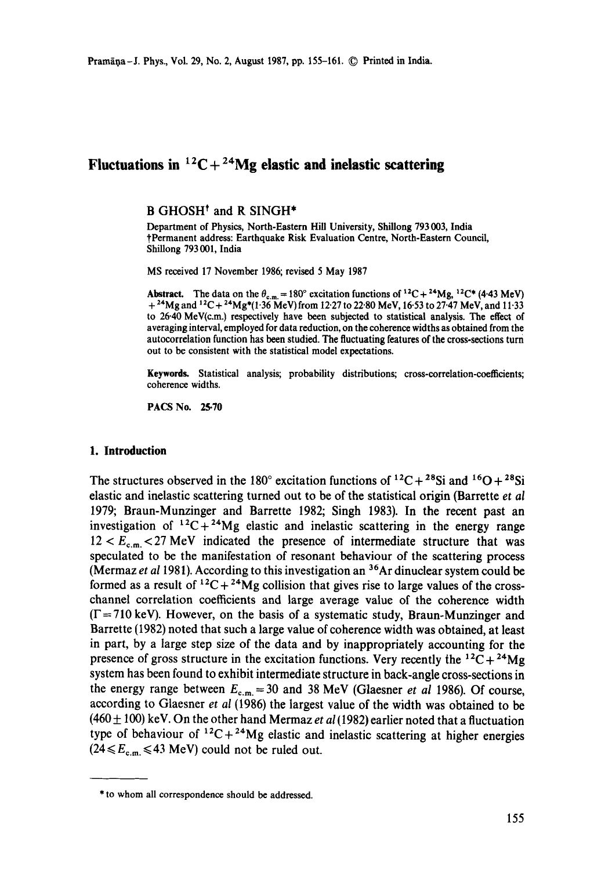# Fluctuations in  ${}^{12}C + {}^{24}Mg$  elastic and inelastic scattering

#### B GHOSH<sup>†</sup> and R SINGH<sup>\*</sup>

Department of Physics, North-Eastern Hill University, Shillong 793003, India tPermanent address: Earthquake Risk Evaluation Centre, North-Eastern Council, Shillong 793 001, India

MS received 17 November 1986; revised 5 May 1987

**Abstract.** The data on the  $\theta_{c.m.} = 180^\circ$  excitation functions of <sup>12</sup>C + <sup>24</sup>Mg, <sup>12</sup>C\* (4.43 MeV)  $+$  <sup>24</sup>Mg and <sup>12</sup>C + <sup>24</sup>Mg<sup>\*</sup>(1.36 MeV) from 12.27 to 22.80 MeV, 16.53 to 27.47 MeV, and 11.33 to 26.40 MeV(c.m.) respectively have been subjected to statistical analysis. The effect of averaging interval, employed for data reduction, on the coherence widths as obtained from the autocorrelation function has been studied. The fluctuating features of the cross-sections turn out to be consistent with the statistical model expectations.

**Keywords.** Statistical analysis; probability distributions; cross-correlation-coefficients; coherence widths.

PACS No. 25.70

## **1. Introduction**

The structures observed in the 180° excitation functions of <sup>12</sup>C + <sup>28</sup>Si and <sup>16</sup>O + <sup>28</sup>Si elastic and inelastic scattering turned out to be of the statistical origin (Barrette *et al*  1979; Braun-Munzinger and Barrette 1982; Singh 1983). In the recent past an investigation of  ${}^{12}C+{}^{24}Mg$  elastic and inelastic scattering in the energy range  $12 < E<sub>c.m.</sub> < 27$  MeV indicated the presence of intermediate structure that was speculated to be the manifestation of resonant behaviour of the scattering process (Mermaz *et al* 1981). According to this investigation an 36Ar dinuclear system could be formed as a result of  ${}^{12}C + {}^{24}Mg$  collision that gives rise to large values of the crosschannel correlation coefficients and large average value of the coherence width  $(\Gamma = 710 \text{ keV})$ . However, on the basis of a systematic study, Braun-Munzinger and Barrette (1982) noted that such a large value of coherence width was obtained, at least in part, by a large step size of the data and by inappropriately accounting for the presence of gross structure in the excitation functions. Very recently the  $^{12}C + ^{24}Mg$ system has been found to exhibit intermediate structure in back-angle cross-sections in the energy range between  $E_{c.m.} = 30$  and 38 MeV (Glaesner *et al* 1986). Of course, according to Glaesner *et al* (1986) the largest value of the width was obtained to be  $(460 \pm 100)$  keV. On the other hand Mermaz *et al* (1982) earlier noted that a fluctuation type of behaviour of  $^{12}C+^{24}Mg$  elastic and inelastic scattering at higher energies  $(24 \le E_{c.m.} \le 43 \text{ MeV})$  could not be ruled out.

<sup>\*</sup> to whom all correspondence should be addressed.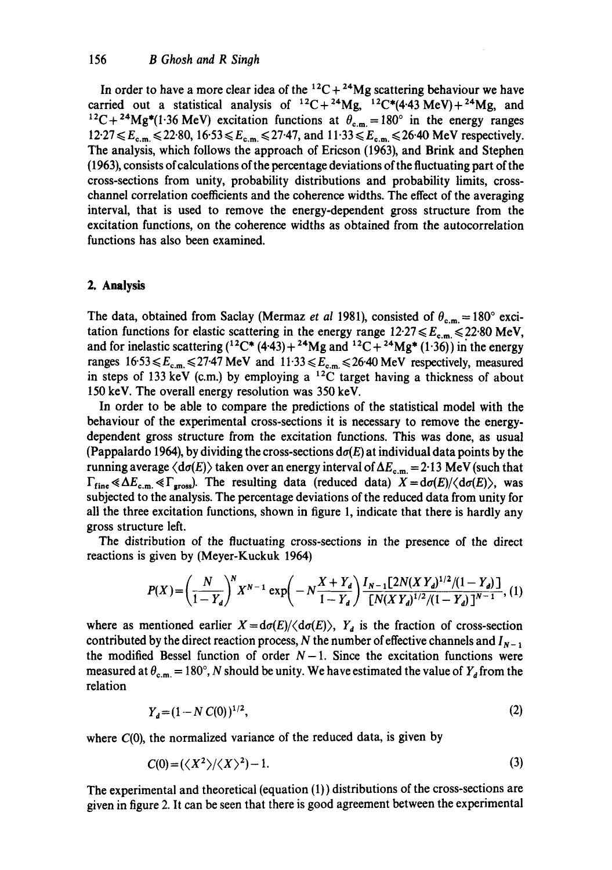In order to have a more clear idea of the  ${}^{12}C + {}^{24}Mg$  scattering behaviour we have carried out a statistical analysis of  ${}^{12}C+{}^{24}Mg$ ,  ${}^{12}C*(4.43 \text{ MeV})+{}^{24}Mg$ , and <sup>12</sup>C+<sup>24</sup>Mg<sup>\*</sup>(1.36 MeV) excitation functions at  $\theta_{c.m.}=180^\circ$  in the energy ranges  $12.27 \le E_{c,m} \le 22.80, 16.53 \le E_{c,m} \le 27.47,$  and  $11.33 \le E_{c,m} \le 26.40$  MeV respectively. The analysis, which follows the approach of Ericson (1963), and Brink and Stephen (1963), consists of calculations of the percentage deviations of the fluctuating part of the cross-sections from unity, probability distributions and probability limits, crosschannel correlation coefficients and the coherence widths. The effect of the averaging interval, that is used to remove the energy-dependent gross structure from the excitation functions, on the coherence widths as obtained from the autocorrelation functions has also been examined.

## **2. Analysis**

The data, obtained from Saclay (Mermaz *et al* 1981), consisted of  $\theta_{c.m.} = 180^\circ$  excitation functions for elastic scattering in the energy range  $12.27 \le E_{c,m} \le 22.80$  MeV, and for inelastic scattering  $(^{12}C^*(4.43)+^{24}Mg$  and  $^{12}C+^{24}Mg^*(1.36)$ ) in the energy ranges  $16.53 \le E_{c.m.} \le 27.47 \text{ MeV}$  and  $11.33 \le E_{c.m.} \le 26.40 \text{ MeV}$  respectively, measured in steps of 133 keV (c.m.) by employing a  $^{12}$ C target having a thickness of about 150 keV. The overall energy resolution was 350 keV.

In order to be able to compare the predictions of the statistical model with the behaviour of the experimental cross-sections it is necessary to remove the energydependent gross structure from the excitation functions. This was done, as usual (Pappalardo 1964), by dividing the cross-sections  $d\sigma(E)$  at individual data points by the running average  $\langle d\sigma(E) \rangle$  taken over an energy interval of  $\Delta E_{c.m.} = 2.13$  MeV (such that  $\Gamma_{\text{fine}} \ll \Delta E_{\text{c.m.}} \ll \Gamma_{\text{gross}}$ . The resulting data (reduced data)  $X = d\sigma(E)/\langle d\sigma(E) \rangle$ , was subjected to the analysis. The percentage deviations of the reduced data from unity for all the three excitation functions, shown in figure 1, indicate that there is hardly any gross structure left.

The distribution of the fluctuating cross-sections in the presence of the direct reactions is given by (Meyer-Kuckuk 1964)

$$
P(X) = \left(\frac{N}{1 - Y_d}\right)^N X^{N-1} \exp\left(-N\frac{X + Y_d}{1 - Y_d}\right) \frac{I_{N-1}[2N(X Y_d)^{1/2}/(1 - Y_d)]}{[N(X Y_d)^{1/2}/(1 - Y_d)]^{N-1}},
$$
(1)

where as mentioned earlier  $X = d\sigma(E)/\langle d\sigma(E) \rangle$ ,  $Y_d$  is the fraction of cross-section contributed by the direct reaction process, N the number of effective channels and  $I_{N-1}$ the modified Bessel function of order  $N-1$ . Since the excitation functions were measured at  $\theta_{c.m.} = 180^\circ$ , N should be unity. We have estimated the value of  $Y_a$  from the relation

$$
Y_d = (1 - N C(0))^{1/2},\tag{2}
$$

where  $C(0)$ , the normalized variance of the reduced data, is given by

$$
C(0) = (\langle X^2 \rangle / \langle X \rangle^2) - 1. \tag{3}
$$

The experimental and theoretical (equation (1)) distributions of the cross-sections are given in figure 2. It can be seen that there is good agreement between the experimental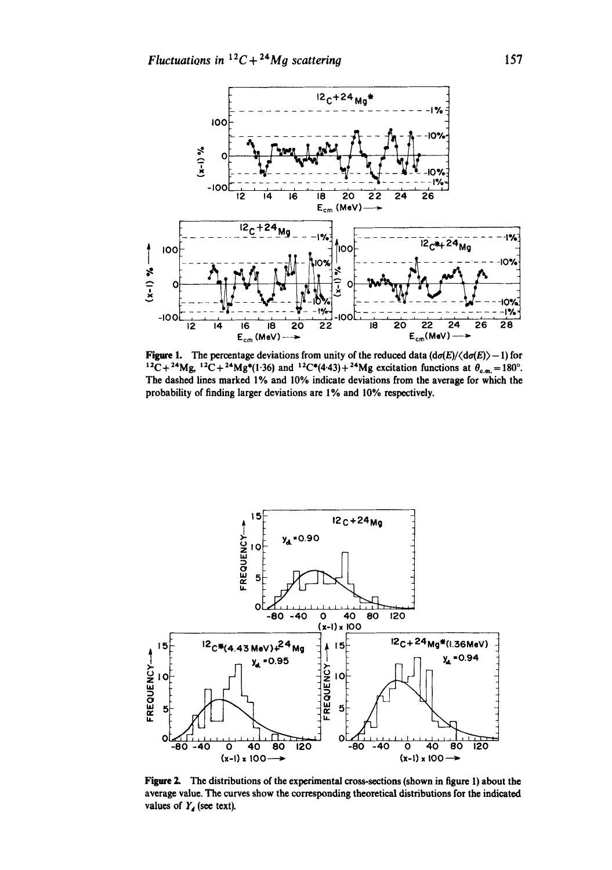

Figure 1. The percentage deviations from unity of the reduced data  $(d\sigma(E)/\langle d\sigma(E)\rangle - 1)$  for  $12C + 24Mg$ ,  $12C + 24Mg*(1.36)$  and  $12C*(4.43) + 24Mg$  excitation functions at  $\theta_{c.m.} = 180^{\circ}$ . The dashed lines marked 1% and 10% indicate deviations from the average for which the probability of finding larger deviations are 1% and 10% respectively.



Figure 2. The distributions of the experimental cross-sections (shown in figure 1) about the average value. The curves show the corresponding theoretical distributions for the indicated values of  $Y_d$  (see text).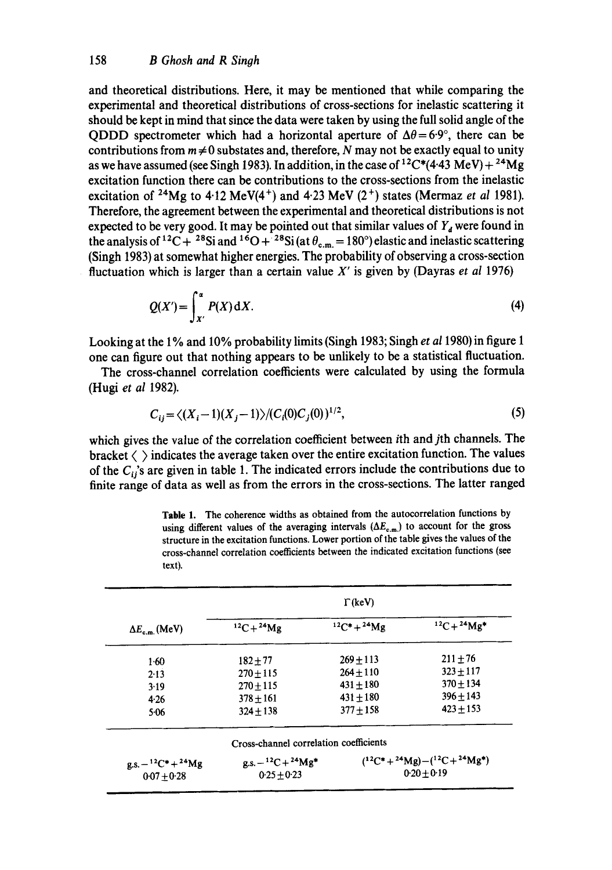and theoretical distributions. Here, it may be mentioned that while comparing the experimental and theoretical distributions of cross-sections for inelastic scattering it should be kept in mind that since the data were taken by using the full solid angle of the QDDD spectrometer which had a horizontal aperture of  $\Delta\theta = 6.9^{\circ}$ , there can be contributions from  $m \neq 0$  substates and, therefore, N may not be exactly equal to unity as we have assumed (see Singh 1983). In addition, in the case of  ${}^{12}C^*(4.43 \text{ MeV}) + {}^{24}\text{Mg}$ excitation function there can be contributions to the cross-sections from the inelastic excitation of <sup>24</sup>Mg to 4.12 MeV(4<sup>+</sup>) and 4.23 MeV (2<sup>+</sup>) states (Mermaz *et al* 1981). Therefore, the agreement between the experimental and theoretical distributions is not expected to be very good. It may be pointed out that similar values of  $Y<sub>d</sub>$  were found in the analysis of <sup>12</sup>C + <sup>28</sup>Si and <sup>16</sup>O + <sup>28</sup>Si (at  $\theta_{c.m.}$  = 180°) elastic and inelastic scattering (Singh 1983) at somewhat higher energies. The probability of observing a cross-section fluctuation which is larger than a certain value X' is given by (Dayras *et al* 1976)

$$
Q(X') = \int_{X'}^{\alpha} P(X) dX.
$$
 (4)

Looking at the 1% and 10% probability limits (Singh 1983; Singh *et a11980)* in figure 1 one can figure out that nothing appears to be unlikely to be a statistical fluctuation.

The cross-channel correlation coefficients were calculated by using the formula (Hugi *et al* 1982).

$$
C_{ij} = \langle (X_i - 1)(X_j - 1) \rangle / (C_i(0)C_j(0))^{1/2}, \tag{5}
$$

which gives the value of the correlation coefficient between ith and jth channels. The bracket  $\langle \ \rangle$  indicates the average taken over the entire excitation function. The values of the  $C_{ij}$ 's are given in table 1. The indicated errors include the contributions due to finite range of data as well as from the errors in the cross-sections. The latter ranged

| $\Delta E_{\rm cm}$ (MeV)       | $\Gamma$ (keV)                                                                  |                |               |
|---------------------------------|---------------------------------------------------------------------------------|----------------|---------------|
|                                 | $12C + 24Mg$                                                                    | $12C^* + 24Mg$ | $12C + 24Mg*$ |
| $1-60$                          | $182 + 77$                                                                      | $269 + 113$    | $211 \pm 76$  |
| 2.13                            | $270 + 115$                                                                     | $264 + 110$    | $323 + 117$   |
| 3.19                            | $270 + 115$                                                                     | $431 + 180$    | $370 \pm 134$ |
| 4.26                            | $378 + 161$                                                                     | $431 \pm 180$  | $396 + 143$   |
| 5.06                            | $324 + 138$                                                                     | $377 + 158$    | $423 + 153$   |
|                                 | Cross-channel correlation coefficients                                          |                |               |
| $g.s. - {}^{12}C^* + {}^{24}Mg$ | $(^{12}C^* + ^{24}Mg) - (^{12}C + ^{24}Mg^*)$<br>$g.s. - {}^{12}C + {}^{24}Mg*$ |                |               |
| $0.07 + 0.28$                   | $0.25 + 0.23$                                                                   | $0.20 + 0.19$  |               |

**Table** 1. The coherence widths as obtained from the autocorrelation functions by using different values of the averaging intervals  $(\Delta E_{c.m.})$  to account for the gross structure in the excitation functions. Lower portion of the table gives the values of the cross-channel correlation coefficients between the indicated excitation functions (see text).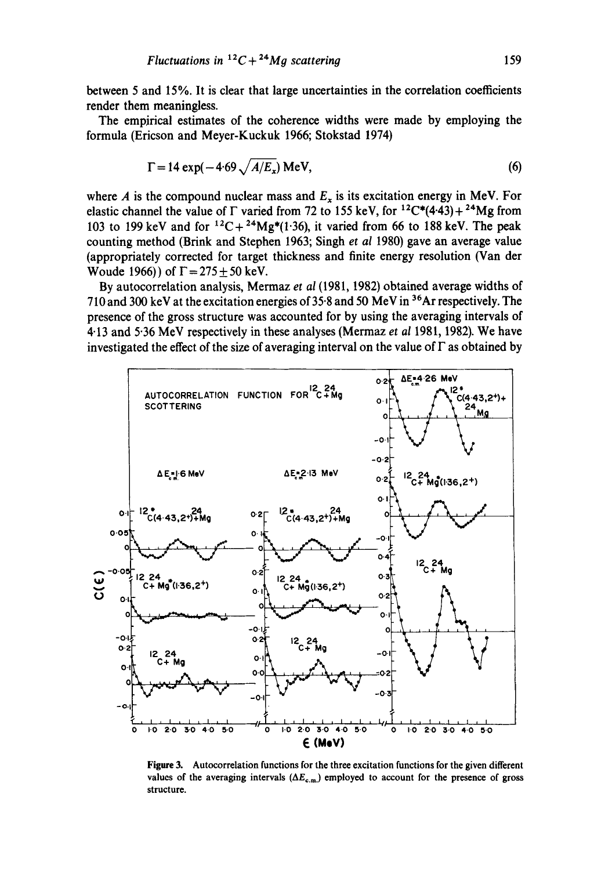**between 5 and 15%. It is clear that large uncertainties in the correlation coefficients render them meaningless.** 

**The empirical estimates of the coherence widths were made by employing the formula (Ericson and Meyer-Kuckuk 1966; Stokstad 1974)** 

$$
\Gamma = 14 \exp(-4.69 \sqrt{A/E_x}) \text{ MeV},\tag{6}
$$

where A is the compound nuclear mass and  $E_x$  is its excitation energy in MeV. For elastic channel the value of  $\Gamma$  varied from 72 to 155 keV, for <sup>12</sup>C\*(4.43) + <sup>24</sup>Mg from 103 to 199 keV and for  ${}^{12}C+{}^{24}Mg*(1.36)$ , it varied from 66 to 188 keV. The peak **counting method (Brink and Stephen 1963; Singh** *et al* **1980) gave an average value (appropriately corrected for target thickness and finite energy resolution (Van der Woude 1966)) of**  $\Gamma = 275 \pm 50$  **keV.** 

**By autocorrelation analysis, Mermaz** *et al* **(1981, 1982) obtained average widths of 710 and 300 keV at the excitation energies of 35.8 and 50 MeV in 36At respectively. The presence of the gross structure was accounted for by using the averaging intervals of 4.13 and 5.36 MeV respectively in these analyses (Mermaz** *et al* **1981, 1982). We have investigated the effect of the size of averaging interval on the value of F as obtained by** 



**Figure 3. Autocorrelation functions for the three excitation functions for the given different**  values of the averaging intervals  $(\Delta E_{c.m.})$  employed to account for the presence of gross **structure.**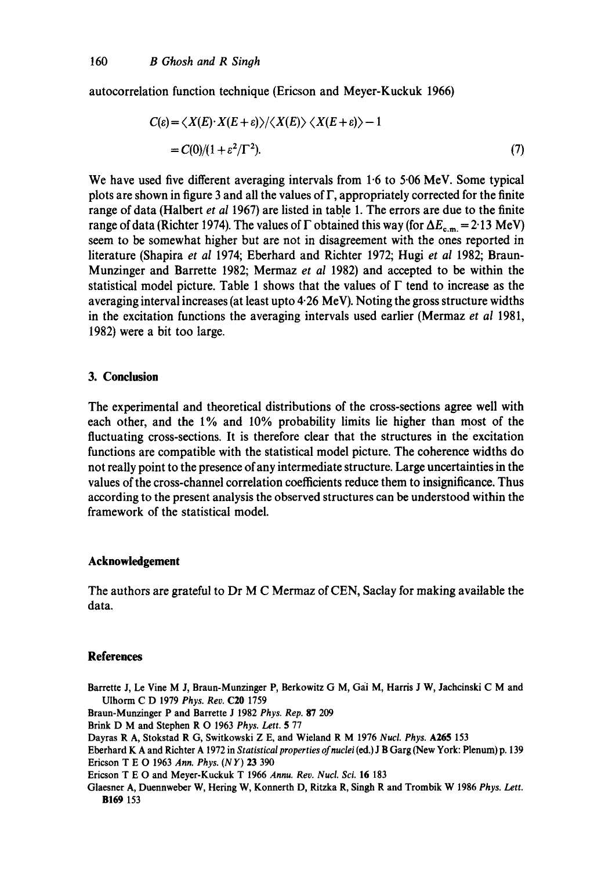autocorrelation function technique (Ericson and Meyer-Kuckuk 1966)

$$
C(\varepsilon) = \langle X(E) \cdot X(E + \varepsilon) \rangle / \langle X(E) \rangle \langle X(E + \varepsilon) \rangle - 1
$$
  
=  $C(0)/(1 + \varepsilon^2/\Gamma^2)$ . (7)

We have used five different averaging intervals from 1.6 to 5.06 MeV. Some typical plots are shown in figure 3 and all the values of F, appropriately corrected for the finite range of data (Halbert *et al* 1967) are listed in table 1. The errors are due to the finite range of data (Richter 1974). The values of  $\Gamma$  obtained this way (for  $\Delta E_{c.m.} = 2.13$  MeV) seem to be somewhat higher but are not in disagreement with the ones reported in literature (Shapira *et al* 1974; Eberhard and Richter 1972; Hugi *et al* 1982; Braun-Munzinger and Barrette 1982; Mermaz *et al* 1982) and accepted to be within the statistical model picture. Table 1 shows that the values of  $\Gamma$  tend to increase as the averaging interval increases (at least upto 4.26 MeV). Noting the gross structure widths in the excitation functions the averaging intervals used earlier (Mermaz *et al* 1981, 1982) were a bit too large.

# **3. Conclusion**

The experimental and theoretical distributions of the cross-sections agree well with each other, and the 1% and 10% probability limits lie higher than most of the fluctuating cross-sections, It is therefore clear that the structures in the excitation functions are compatible with the statistical model picture. The coherence widths do not really point to the presence of any intermediate structure. Large uncertainties in the values of the cross-channel correlation coefficients reduce them to insignificance. Thus according to the present analysis the observed structures can be understood within the framework of the statistical model.

#### **Acknowledgement**

The authors are grateful to Dr M C Mermaz of CEN, Saclay for making available the data.

## **References**

Barrette J, Le Vine M J, Braun-Munzinger P, Berkowitz G M, Gai M, Harris J W, Jachcinski C M and Ulhorm C D 1979 *Phys. Rev.* C20 1759

Braun-Munzinger P and Barrette J 1982 *Phys. Rep.* 87 209

Brink D M and Stephen R O 1963 *Phys. Lett.* 5 77

Dayras R A, Stokstad R G, Switkowski Z E, and Wieland R M 1976 *Nucl. Phys.* A265 153

Eberhard K A and Richter A 1972 in *Statistical properties of nuclei* (ed.) J B Garg (New York: Plenum) p. 139 Ericson T E O 1963 *Ann. Phys. (NY)* 23 390

Ericson T E O and Meyer-Kuckuk T 1966 *Annu. Rev. Nucl. Sci.* 16 183

Glaesner A, Duennwebcr W, Hering W, Konnerth D, Ritzka R, Singh R and Trombik W 1986 *Phys. Lett.*  **B169** 153